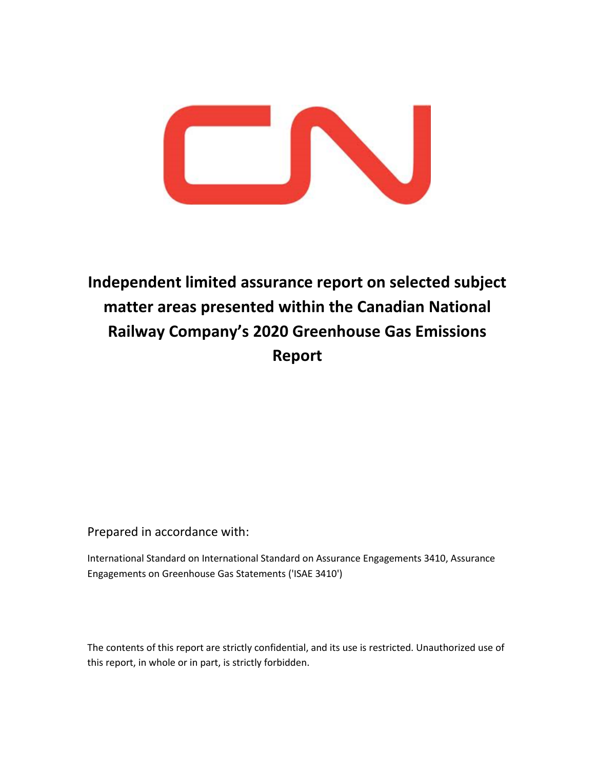

# **Independent limited assurance report on selected subject matter areas presented within the Canadian National Railway Company's 2020 Greenhouse Gas Emissions Report**

Prepared in accordance with:

International Standard on International Standard on Assurance Engagements 3410, Assurance Engagements on Greenhouse Gas Statements ('ISAE 3410')

The contents of this report are strictly confidential, and its use is restricted. Unauthorized use of this report, in whole or in part, is strictly forbidden.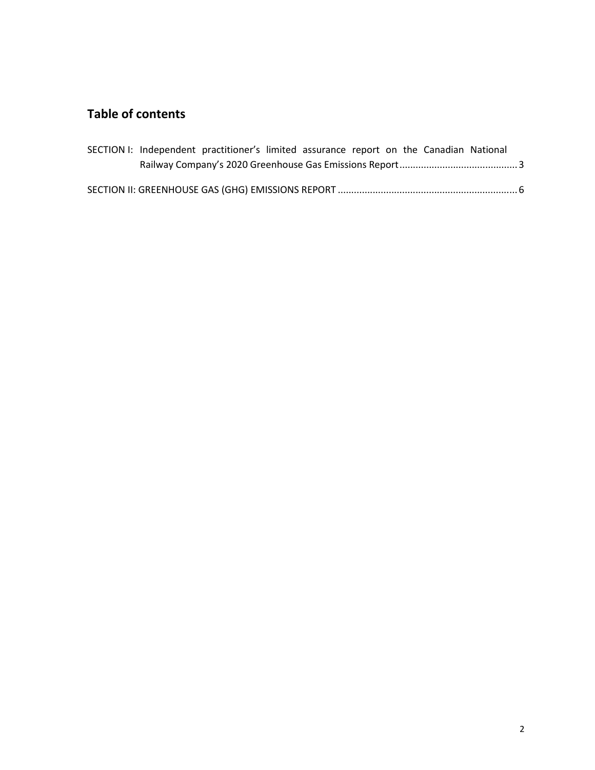## **Table of contents**

|  |  | SECTION I: Independent practitioner's limited assurance report on the Canadian National |  |  |  |  |  |  |  |
|--|--|-----------------------------------------------------------------------------------------|--|--|--|--|--|--|--|
|  |  |                                                                                         |  |  |  |  |  |  |  |
|  |  |                                                                                         |  |  |  |  |  |  |  |
|  |  |                                                                                         |  |  |  |  |  |  |  |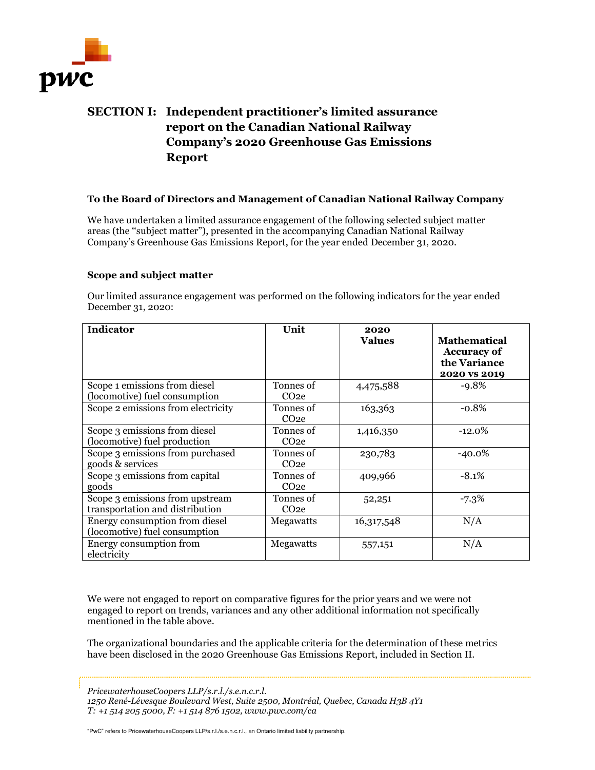

### <span id="page-2-0"></span>**SECTION I: Independent practitioner's limited assurance report on the Canadian National Railway Company's 2020 Greenhouse Gas Emissions Report**

### **To the Board of Directors and Management of Canadian National Railway Company**

We have undertaken a limited assurance engagement of the following selected subject matter areas (the ''subject matter"), presented in the accompanying Canadian National Railway Company's Greenhouse Gas Emissions Report, for the year ended December 31, 2020.

### **Scope and subject matter**

Our limited assurance engagement was performed on the following indicators for the year ended December 31, 2020:

| Indicator                                                          | Unit                          | 2020<br><b>Values</b> | <b>Mathematical</b><br><b>Accuracy of</b><br>the Variance<br>2020 vs 2019 |
|--------------------------------------------------------------------|-------------------------------|-----------------------|---------------------------------------------------------------------------|
| Scope 1 emissions from diesel<br>(locomotive) fuel consumption     | Tonnes of<br>CO <sub>2e</sub> | 4,475,588             | $-9.8%$                                                                   |
| Scope 2 emissions from electricity                                 | Tonnes of<br>CO <sub>2e</sub> | 163,363               | $-0.8%$                                                                   |
| Scope 3 emissions from diesel<br>(locomotive) fuel production      | Tonnes of<br>CO <sub>2e</sub> | 1,416,350             | $-12.0%$                                                                  |
| Scope 3 emissions from purchased<br>goods & services               | Tonnes of<br>CO <sub>2e</sub> | 230,783               | $-40.0\%$                                                                 |
| Scope 3 emissions from capital<br>goods                            | Tonnes of<br>CO <sub>2e</sub> | 409,966               | $-8.1%$                                                                   |
| Scope 3 emissions from upstream<br>transportation and distribution | Tonnes of<br>CO <sub>2e</sub> | 52,251                | $-7.3%$                                                                   |
| Energy consumption from diesel<br>(locomotive) fuel consumption    | Megawatts                     | 16,317,548            | N/A                                                                       |
| Energy consumption from<br>electricity                             | Megawatts                     | 557,151               | N/A                                                                       |

We were not engaged to report on comparative figures for the prior years and we were not engaged to report on trends, variances and any other additional information not specifically mentioned in the table above.

The organizational boundaries and the applicable criteria for the determination of these metrics have been disclosed in the 2020 Greenhouse Gas Emissions Report, included in Section II.

*PricewaterhouseCoopers LLP/s.r.l./s.e.n.c.r.l.* 

*1250 René-Lévesque Boulevard West, Suite 2500, Montréal, Quebec, Canada H3B 4Y1 T: +1 514 205 5000, F: +1 514 876 1502, www.pwc.com/ca* 

"PwC" refers to PricewaterhouseCoopers LLP/s.r.l./s.e.n.c.r.l., an Ontario limited liability partnership.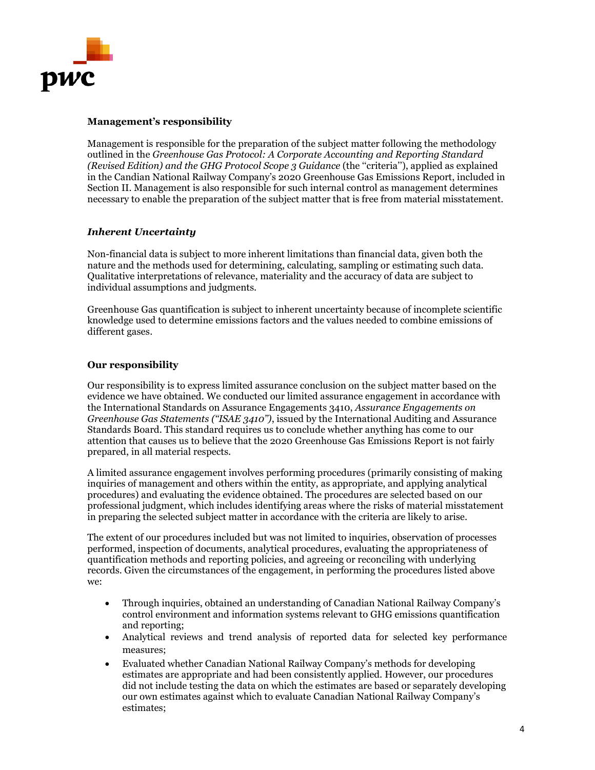

### **Management's responsibility**

Management is responsible for the preparation of the subject matter following the methodology outlined in the *Greenhouse Gas Protocol: A Corporate Accounting and Reporting Standard (Revised Edition) and the GHG Protocol Scope 3 Guidance* (the ''criteria''), applied as explained in the Candian National Railway Company's 2020 Greenhouse Gas Emissions Report, included in Section II. Management is also responsible for such internal control as management determines necessary to enable the preparation of the subject matter that is free from material misstatement.

### *Inherent Uncertainty*

Non-financial data is subject to more inherent limitations than financial data, given both the nature and the methods used for determining, calculating, sampling or estimating such data. Qualitative interpretations of relevance, materiality and the accuracy of data are subject to individual assumptions and judgments.

Greenhouse Gas quantification is subject to inherent uncertainty because of incomplete scientific knowledge used to determine emissions factors and the values needed to combine emissions of different gases.

### **Our responsibility**

Our responsibility is to express limited assurance conclusion on the subject matter based on the evidence we have obtained. We conducted our limited assurance engagement in accordance with the International Standards on Assurance Engagements 3410, *Assurance Engagements on Greenhouse Gas Statements (''ISAE 3410'')*, issued by the International Auditing and Assurance Standards Board. This standard requires us to conclude whether anything has come to our attention that causes us to believe that the 2020 Greenhouse Gas Emissions Report is not fairly prepared, in all material respects.

A limited assurance engagement involves performing procedures (primarily consisting of making inquiries of management and others within the entity, as appropriate, and applying analytical procedures) and evaluating the evidence obtained. The procedures are selected based on our professional judgment, which includes identifying areas where the risks of material misstatement in preparing the selected subject matter in accordance with the criteria are likely to arise.

The extent of our procedures included but was not limited to inquiries, observation of processes performed, inspection of documents, analytical procedures, evaluating the appropriateness of quantification methods and reporting policies, and agreeing or reconciling with underlying records. Given the circumstances of the engagement, in performing the procedures listed above we:

- Through inquiries, obtained an understanding of Canadian National Railway Company's control environment and information systems relevant to GHG emissions quantification and reporting;
- Analytical reviews and trend analysis of reported data for selected key performance measures;
- Evaluated whether Canadian National Railway Company's methods for developing estimates are appropriate and had been consistently applied. However, our procedures did not include testing the data on which the estimates are based or separately developing our own estimates against which to evaluate Canadian National Railway Company's estimates;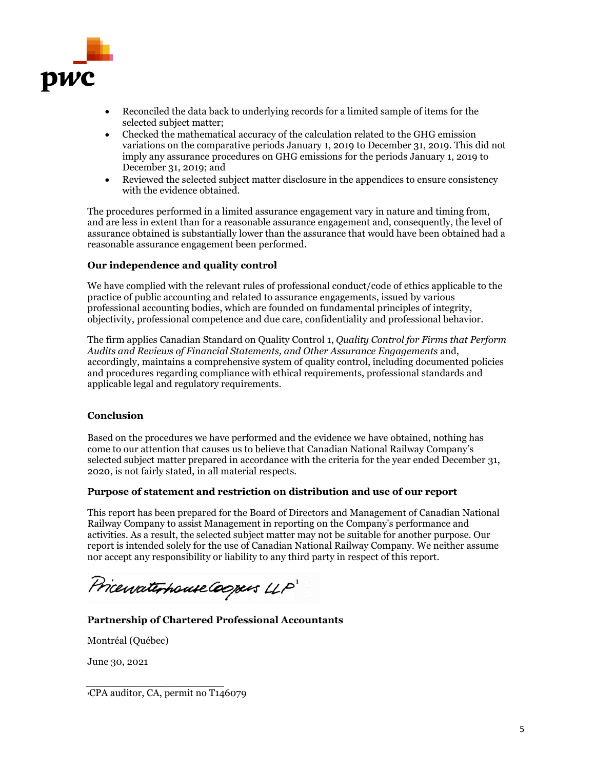

- Reconciled the data back to underlying records for a limited sample of items for the selected subject matter;
- Checked the mathematical accuracy of the calculation related to the GHG emission variations on the comparative periods January 1, 2019 to December 31, 2019. This did not imply any assurance procedures on GHG emissions for the periods January 1, 2019 to December 31, 2019; and
- Reviewed the selected subject matter disclosure in the appendices to ensure consistency with the evidence obtained.

The procedures performed in a limited assurance engagement vary in nature and timing from, and are less in extent than for a reasonable assurance engagement and, consequently, the level of assurance obtained is substantially lower than the assurance that would have been obtained had a reasonable assurance engagement been performed.

### **Our independence and quality control**

We have complied with the relevant rules of professional conduct/code of ethics applicable to the practice of public accounting and related to assurance engagements, issued by various professional accounting bodies, which are founded on fundamental principles of integrity, objectivity, professional competence and due care, confidentiality and professional behavior.

The firm applies Canadian Standard on Quality Control 1, *Quality Control for Firms that Perform Audits and Reviews of Financial Statements, and Other Assurance Engagements* and, accordingly, maintains a comprehensive system of quality control, including documented policies and procedures regarding compliance with ethical requirements, professional standards and applicable legal and regulatory requirements.

### **Conclusion**

Based on the procedures we have performed and the evidence we have obtained, nothing has come to our attention that causes us to believe that Canadian National Railway Company's selected subject matter prepared in accordance with the criteria for the year ended December 31, 2020, is not fairly stated, in all material respects.

### **Purpose of statement and restriction on distribution and use of our report**

This report has been prepared for the Board of Directors and Management of Canadian National Railway Company to assist Management in reporting on the Company's performance and activities. As a result, the selected subject matter may not be suitable for another purpose. Our report is intended solely for the use of Canadian National Railway Company. We neither assume nor accept any responsibility or liability to any third party in respect of this report.

Pricewaterhouse Coopers LLP

### **Partnership of Chartered Professional Accountants**

Montréal (Québec)

June 30, 2021

**1**CPA auditor, CA, permit no T146079

 $\frac{1}{2}$  ,  $\frac{1}{2}$  ,  $\frac{1}{2}$  ,  $\frac{1}{2}$  ,  $\frac{1}{2}$  ,  $\frac{1}{2}$  ,  $\frac{1}{2}$  ,  $\frac{1}{2}$  ,  $\frac{1}{2}$  ,  $\frac{1}{2}$  ,  $\frac{1}{2}$  ,  $\frac{1}{2}$  ,  $\frac{1}{2}$  ,  $\frac{1}{2}$  ,  $\frac{1}{2}$  ,  $\frac{1}{2}$  ,  $\frac{1}{2}$  ,  $\frac{1}{2}$  ,  $\frac{1$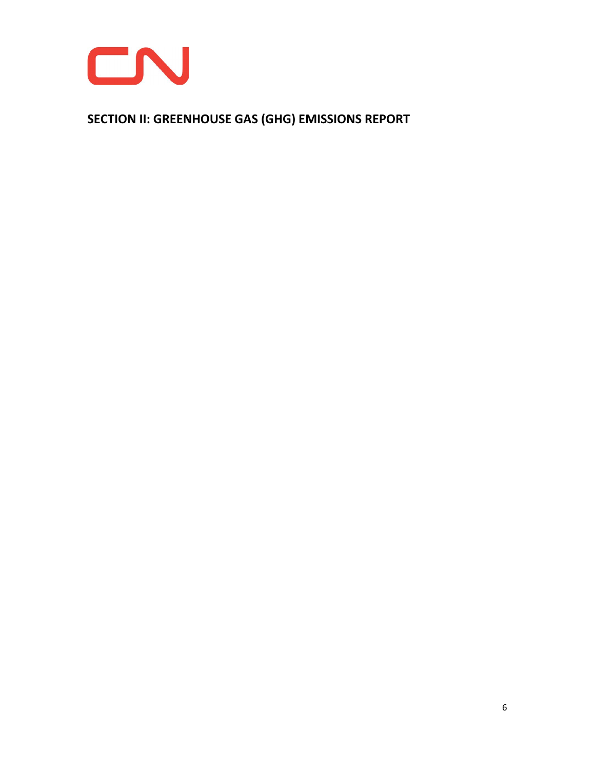

<span id="page-5-0"></span>**SECTION II: GREENHOUSE GAS (GHG) EMISSIONS REPORT**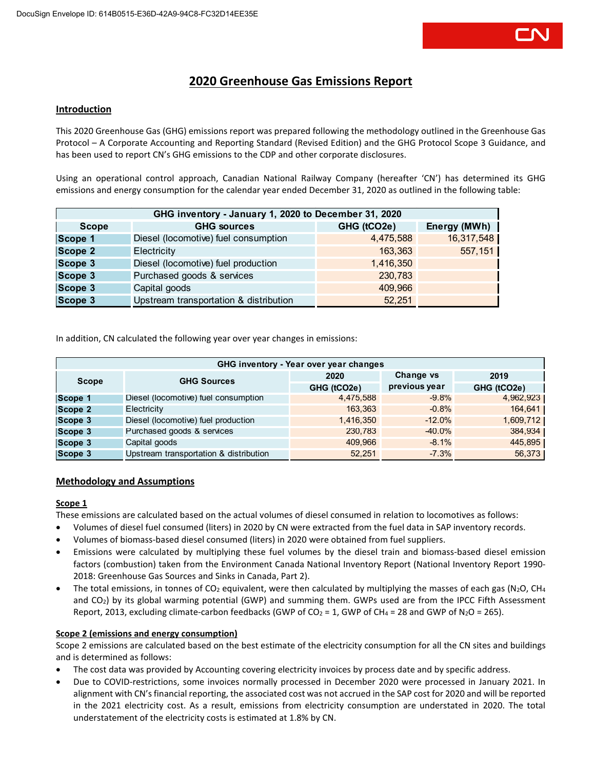

### **2020 Greenhouse Gas Emissions Report**

#### **Introduction**

This 2020 Greenhouse Gas (GHG) emissions report was prepared following the methodology outlined in the Greenhouse Gas Protocol – A Corporate Accounting and Reporting Standard (Revised Edition) and the GHG Protocol Scope 3 Guidance, and has been used to report CN's GHG emissions to the CDP and other corporate disclosures.

Using an operational control approach, Canadian National Railway Company (hereafter 'CN') has determined its GHG emissions and energy consumption for the calendar year ended December 31, 2020 as outlined in the following table:

| GHG inventory - January 1, 2020 to December 31, 2020 |                                        |             |              |  |  |  |
|------------------------------------------------------|----------------------------------------|-------------|--------------|--|--|--|
| <b>Scope</b>                                         | <b>GHG sources</b>                     | GHG (tCO2e) | Energy (MWh) |  |  |  |
| Scope 1                                              | Diesel (locomotive) fuel consumption   | 4,475,588   | 16,317,548   |  |  |  |
| Scope 2                                              | Electricity                            | 163.363     | 557,151      |  |  |  |
| Scope 3                                              | Diesel (locomotive) fuel production    | 1,416,350   |              |  |  |  |
| Scope 3                                              | Purchased goods & services             | 230,783     |              |  |  |  |
| Scope 3                                              | Capital goods                          | 409,966     |              |  |  |  |
| Scope 3                                              | Upstream transportation & distribution | 52.251      |              |  |  |  |

In addition, CN calculated the following year over year changes in emissions:

| GHG inventory - Year over year changes |                                        |             |               |             |  |  |
|----------------------------------------|----------------------------------------|-------------|---------------|-------------|--|--|
| Scope                                  | <b>GHG Sources</b>                     | 2020        | Change vs     | 2019        |  |  |
|                                        |                                        | GHG (tCO2e) | previous year | GHG (tCO2e) |  |  |
| Scope 1                                | Diesel (locomotive) fuel consumption   | 4,475,588   | $-9.8%$       | 4,962,923   |  |  |
| Scope 2                                | Electricity                            | 163.363     | $-0.8%$       | 164,641     |  |  |
| Scope 3                                | Diesel (locomotive) fuel production    | 1,416,350   | $-12.0%$      | 1,609,712   |  |  |
| Scope 3                                | Purchased goods & services             | 230,783     | $-40.0\%$     | 384,934     |  |  |
| Scope 3                                | Capital goods                          | 409,966     | $-8.1%$       | 445,895     |  |  |
| Scope 3                                | Upstream transportation & distribution | 52.251      | $-7.3%$       | 56,373      |  |  |

### **Methodology and Assumptions**

### **Scope 1**

These emissions are calculated based on the actual volumes of diesel consumed in relation to locomotives as follows:

- Volumes of diesel fuel consumed (liters) in 2020 by CN were extracted from the fuel data in SAP inventory records.
- Volumes of biomass-based diesel consumed (liters) in 2020 were obtained from fuel suppliers.
- Emissions were calculated by multiplying these fuel volumes by the diesel train and biomass-based diesel emission factors (combustion) taken from the Environment Canada National Inventory Report (National Inventory Report 1990- 2018: Greenhouse Gas Sources and Sinks in Canada, Part 2).
- The total emissions, in tonnes of CO<sub>2</sub> equivalent, were then calculated by multiplying the masses of each gas (N<sub>2</sub>O, CH<sub>4</sub> and CO2) by its global warming potential (GWP) and summing them. GWPs used are from the IPCC Fifth Assessment Report, 2013, excluding climate-carbon feedbacks (GWP of CO<sub>2</sub> = 1, GWP of CH<sub>4</sub> = 28 and GWP of N<sub>2</sub>O = 265).

### **Scope 2 (emissions and energy consumption)**

Scope 2 emissions are calculated based on the best estimate of the electricity consumption for all the CN sites and buildings and is determined as follows:

- The cost data was provided by Accounting covering electricity invoices by process date and by specific address.
- Due to COVID-restrictions, some invoices normally processed in December 2020 were processed in January 2021. In alignment with CN's financial reporting, the associated cost was not accrued in the SAP cost for 2020 and will be reported in the 2021 electricity cost. As a result, emissions from electricity consumption are understated in 2020. The total understatement of the electricity costs is estimated at 1.8% by CN.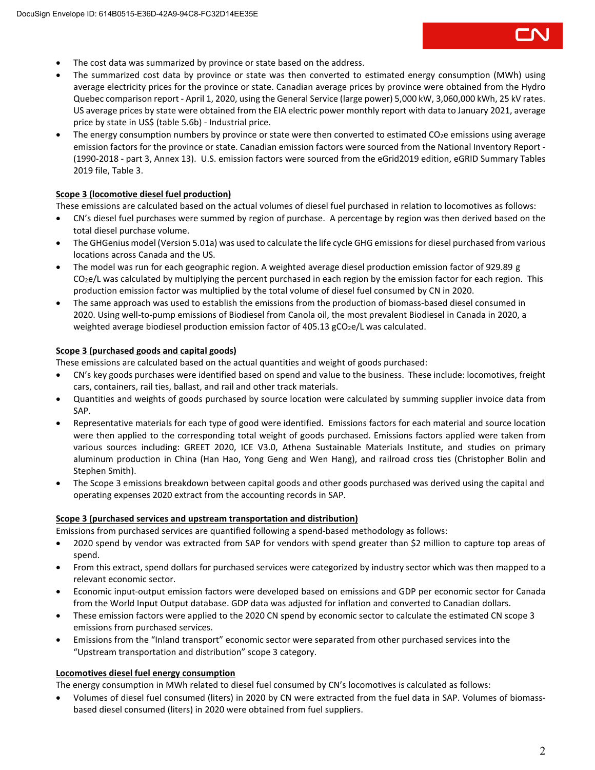- The cost data was summarized by province or state based on the address.
- The summarized cost data by province or state was then converted to estimated energy consumption (MWh) using average electricity prices for the province or state. Canadian average prices by province were obtained from the Hydro Quebec comparison report - April 1, 2020, using the General Service (large power) 5,000 kW, 3,060,000 kWh, 25 kV rates. US average prices by state were obtained from the EIA electric power monthly report with data to January 2021, average price by state in US\$ (table 5.6b) - Industrial price.
- The energy consumption numbers by province or state were then converted to estimated  $CO<sub>2</sub>e$  emissions using average emission factors for the province or state. Canadian emission factors were sourced from the National Inventory Report - (1990-2018 - part 3, Annex 13). U.S. emission factors were sourced from the eGrid2019 edition, eGRID Summary Tables 2019 file, Table 3.

### **Scope 3 (locomotive diesel fuel production)**

These emissions are calculated based on the actual volumes of diesel fuel purchased in relation to locomotives as follows:

- CN's diesel fuel purchases were summed by region of purchase. A percentage by region was then derived based on the total diesel purchase volume.
- The GHGenius model (Version 5.01a) was used to calculate the life cycle GHG emissions for diesel purchased from various locations across Canada and the US.
- The model was run for each geographic region. A weighted average diesel production emission factor of 929.89 g  $CO<sub>2</sub>e/L$  was calculated by multiplying the percent purchased in each region by the emission factor for each region. This production emission factor was multiplied by the total volume of diesel fuel consumed by CN in 2020.
- The same approach was used to establish the emissions from the production of biomass-based diesel consumed in 2020. Using well-to-pump emissions of Biodiesel from Canola oil, the most prevalent Biodiesel in Canada in 2020, a weighted average biodiesel production emission factor of  $405.13$  gCO<sub>2</sub>e/L was calculated.

### **Scope 3 (purchased goods and capital goods)**

These emissions are calculated based on the actual quantities and weight of goods purchased:

- CN's key goods purchases were identified based on spend and value to the business. These include: locomotives, freight cars, containers, rail ties, ballast, and rail and other track materials.
- Quantities and weights of goods purchased by source location were calculated by summing supplier invoice data from SAP.
- Representative materials for each type of good were identified. Emissions factors for each material and source location were then applied to the corresponding total weight of goods purchased. Emissions factors applied were taken from various sources including: GREET 2020, ICE V3.0, Athena Sustainable Materials Institute, and studies on primary aluminum production in China (Han Hao, Yong Geng and Wen Hang), and railroad cross ties (Christopher Bolin and Stephen Smith).
- The Scope 3 emissions breakdown between capital goods and other goods purchased was derived using the capital and operating expenses 2020 extract from the accounting records in SAP.

### **Scope 3 (purchased services and upstream transportation and distribution)**

Emissions from purchased services are quantified following a spend-based methodology as follows:

- 2020 spend by vendor was extracted from SAP for vendors with spend greater than \$2 million to capture top areas of spend.
- From this extract, spend dollars for purchased services were categorized by industry sector which was then mapped to a relevant economic sector.
- Economic input-output emission factors were developed based on emissions and GDP per economic sector for Canada from the World Input Output database. GDP data was adjusted for inflation and converted to Canadian dollars.
- These emission factors were applied to the 2020 CN spend by economic sector to calculate the estimated CN scope 3 emissions from purchased services.
- Emissions from the "Inland transport" economic sector were separated from other purchased services into the "Upstream transportation and distribution" scope 3 category.

### **Locomotives diesel fuel energy consumption**

The energy consumption in MWh related to diesel fuel consumed by CN's locomotives is calculated as follows:

 Volumes of diesel fuel consumed (liters) in 2020 by CN were extracted from the fuel data in SAP. Volumes of biomassbased diesel consumed (liters) in 2020 were obtained from fuel suppliers.